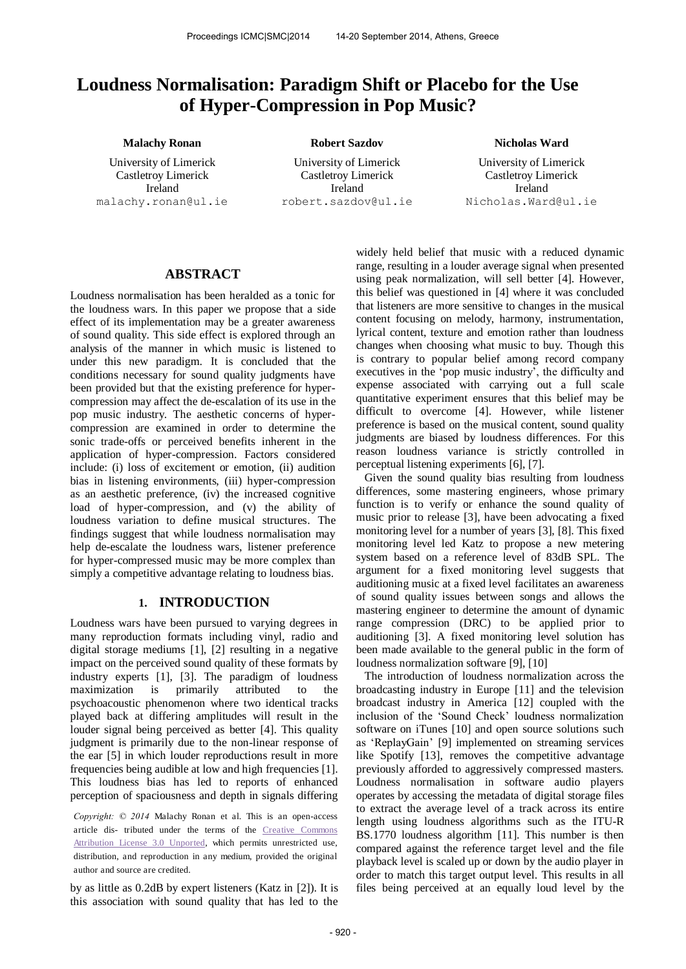# **Loudness Normalisation: Paradigm Shift or Placebo for the Use of Hyper-Compression in Pop Music?**

University of Limerick Castletroy Limerick

Ireland malachy.ronan@ul.ie

**Malachy Ronan Robert Sazdov Nicholas Ward Robert Sazdov** Nicholas Ward

University of Limerick Castletroy Limerick Ireland [robert.sazdov@ul.ie](mailto:robert.sazdov@ul.ie)

University of Limerick Castletroy Limerick Ireland [Nicholas.Ward@ul.ie](mailto:Nicholas.Ward@ul.ie)

## **ABSTRACT**

Loudness normalisation has been heralded as a tonic for the loudness wars. In this paper we propose that a side effect of its implementation may be a greater awareness of sound quality. This side effect is explored through an analysis of the manner in which music is listened to under this new paradigm. It is concluded that the conditions necessary for sound quality judgments have been provided but that the existing preference for hypercompression may affect the de-escalation of its use in the pop music industry. The aesthetic concerns of hypercompression are examined in order to determine the sonic trade-offs or perceived benefits inherent in the application of hyper-compression. Factors considered include: (i) loss of excitement or emotion, (ii) audition bias in listening environments, (iii) hyper-compression as an aesthetic preference, (iv) the increased cognitive load of hyper-compression, and (v) the ability of loudness variation to define musical structures. The findings suggest that while loudness normalisation may help de-escalate the loudness wars, listener preference for hyper-compressed music may be more complex than simply a competitive advantage relating to loudness bias.

## **1. INTRODUCTION**

Loudness wars have been pursued to varying degrees in many reproduction formats including vinyl, radio and digital storage mediums [1], [2] resulting in a negative impact on the perceived sound quality of these formats by industry experts [1], [3]. The paradigm of loudness maximization is primarily attributed to the psychoacoustic phenomenon where two identical tracks played back at differing amplitudes will result in the louder signal being perceived as better [4]. This quality judgment is primarily due to the non-linear response of the ear [5] in which louder reproductions result in more frequencies being audible at low and high frequencies [1]. This loudness bias has led to reports of enhanced perception of spaciousness and depth in signals differing

*Copyright: © 2014* Malachy Ronan et al. This is an open-access article dis- tributed under the terms of the [Creative Commons](http://creativecommons.org/licenses/by/3.0/)  [Attribution License 3.0 Unported,](http://creativecommons.org/licenses/by/3.0/) which permits unrestricted use, distribution, and reproduction in any medium, provided the original author and source are credited.

by as little as 0.2dB by expert listeners (Katz in [2]). It is this association with sound quality that has led to the

widely held belief that music with a reduced dynamic range, resulting in a louder average signal when presented using peak normalization, will sell better [4]. However, this belief was questioned in [4] where it was concluded that listeners are more sensitive to changes in the musical content focusing on melody, harmony, instrumentation, lyrical content, texture and emotion rather than loudness changes when choosing what music to buy. Though this is contrary to popular belief among record company executives in the 'pop music industry', the difficulty and expense associated with carrying out a full scale quantitative experiment ensures that this belief may be difficult to overcome [4]. However, while listener preference is based on the musical content, sound quality judgments are biased by loudness differences. For this reason loudness variance is strictly controlled in perceptual listening experiments [6], [7].

Given the sound quality bias resulting from loudness differences, some mastering engineers, whose primary function is to verify or enhance the sound quality of music prior to release [3], have been advocating a fixed monitoring level for a number of years [3], [8]. This fixed monitoring level led Katz to propose a new metering system based on a reference level of 83dB SPL. The argument for a fixed monitoring level suggests that auditioning music at a fixed level facilitates an awareness of sound quality issues between songs and allows the mastering engineer to determine the amount of dynamic range compression (DRC) to be applied prior to auditioning [3]. A fixed monitoring level solution has been made available to the general public in the form of loudness normalization software [9], [10]

The introduction of loudness normalization across the broadcasting industry in Europe [11] and the television broadcast industry in America [12] coupled with the inclusion of the 'Sound Check' loudness normalization software on iTunes [10] and open source solutions such as 'ReplayGain' [9] implemented on streaming services like Spotify [13], removes the competitive advantage previously afforded to aggressively compressed masters. Loudness normalisation in software audio players operates by accessing the metadata of digital storage files to extract the average level of a track across its entire length using loudness algorithms such as the ITU-R BS.1770 loudness algorithm [11]. This number is then compared against the reference target level and the file playback level is scaled up or down by the audio player in order to match this target output level. This results in all files being perceived at an equally loud level by the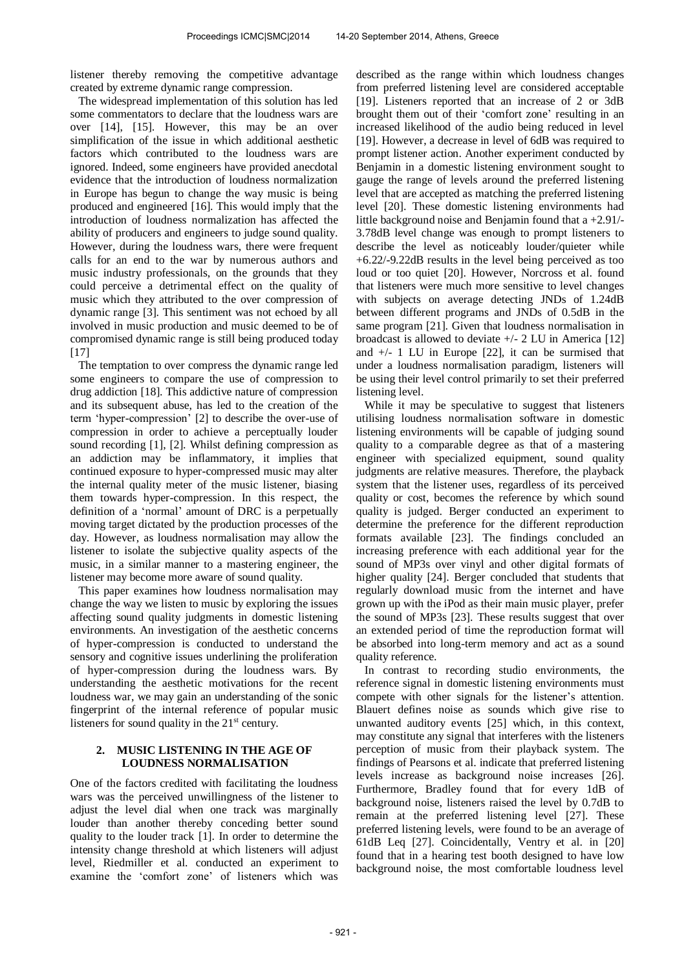listener thereby removing the competitive advantage created by extreme dynamic range compression.

The widespread implementation of this solution has led some commentators to declare that the loudness wars are over [14], [15]. However, this may be an over simplification of the issue in which additional aesthetic factors which contributed to the loudness wars are ignored. Indeed, some engineers have provided anecdotal evidence that the introduction of loudness normalization in Europe has begun to change the way music is being produced and engineered [16]. This would imply that the introduction of loudness normalization has affected the ability of producers and engineers to judge sound quality. However, during the loudness wars, there were frequent calls for an end to the war by numerous authors and music industry professionals, on the grounds that they could perceive a detrimental effect on the quality of music which they attributed to the over compression of dynamic range [3]. This sentiment was not echoed by all involved in music production and music deemed to be of compromised dynamic range is still being produced today [17]

The temptation to over compress the dynamic range led some engineers to compare the use of compression to drug addiction [18]. This addictive nature of compression and its subsequent abuse, has led to the creation of the term 'hyper-compression' [2] to describe the over-use of compression in order to achieve a perceptually louder sound recording [1], [2]. Whilst defining compression as an addiction may be inflammatory, it implies that continued exposure to hyper-compressed music may alter the internal quality meter of the music listener, biasing them towards hyper-compression. In this respect, the definition of a 'normal' amount of DRC is a perpetually moving target dictated by the production processes of the day. However, as loudness normalisation may allow the listener to isolate the subjective quality aspects of the music, in a similar manner to a mastering engineer, the listener may become more aware of sound quality.

This paper examines how loudness normalisation may change the way we listen to music by exploring the issues affecting sound quality judgments in domestic listening environments. An investigation of the aesthetic concerns of hyper-compression is conducted to understand the sensory and cognitive issues underlining the proliferation of hyper-compression during the loudness wars. By understanding the aesthetic motivations for the recent loudness war, we may gain an understanding of the sonic fingerprint of the internal reference of popular music listeners for sound quality in the  $21<sup>st</sup>$  century.

## **2. MUSIC LISTENING IN THE AGE OF LOUDNESS NORMALISATION**

One of the factors credited with facilitating the loudness wars was the perceived unwillingness of the listener to adjust the level dial when one track was marginally louder than another thereby conceding better sound quality to the louder track [1]. In order to determine the intensity change threshold at which listeners will adjust level, Riedmiller et al. conducted an experiment to examine the 'comfort zone' of listeners which was

described as the range within which loudness changes from preferred listening level are considered acceptable [19]. Listeners reported that an increase of 2 or 3dB brought them out of their 'comfort zone' resulting in an increased likelihood of the audio being reduced in level [19]. However, a decrease in level of 6dB was required to prompt listener action. Another experiment conducted by Benjamin in a domestic listening environment sought to gauge the range of levels around the preferred listening level that are accepted as matching the preferred listening level [20]. These domestic listening environments had little background noise and Benjamin found that a +2.91/- 3.78dB level change was enough to prompt listeners to describe the level as noticeably louder/quieter while +6.22/-9.22dB results in the level being perceived as too loud or too quiet [20]. However, Norcross et al. found that listeners were much more sensitive to level changes with subjects on average detecting JNDs of 1.24dB between different programs and JNDs of 0.5dB in the same program [21]. Given that loudness normalisation in broadcast is allowed to deviate  $+/- 2$  LU in America [12] and  $+/- 1$  LU in Europe [22], it can be surmised that under a loudness normalisation paradigm, listeners will be using their level control primarily to set their preferred listening level.

While it may be speculative to suggest that listeners utilising loudness normalisation software in domestic listening environments will be capable of judging sound quality to a comparable degree as that of a mastering engineer with specialized equipment, sound quality judgments are relative measures. Therefore, the playback system that the listener uses, regardless of its perceived quality or cost, becomes the reference by which sound quality is judged. Berger conducted an experiment to determine the preference for the different reproduction formats available [23]. The findings concluded an increasing preference with each additional year for the sound of MP3s over vinyl and other digital formats of higher quality [24]. Berger concluded that students that regularly download music from the internet and have grown up with the iPod as their main music player, prefer the sound of MP3s [23]. These results suggest that over an extended period of time the reproduction format will be absorbed into long-term memory and act as a sound quality reference.

In contrast to recording studio environments, the reference signal in domestic listening environments must compete with other signals for the listener's attention. Blauert defines noise as sounds which give rise to unwanted auditory events [25] which, in this context, may constitute any signal that interferes with the listeners perception of music from their playback system. The findings of Pearsons et al. indicate that preferred listening levels increase as background noise increases [26]. Furthermore, Bradley found that for every 1dB of background noise, listeners raised the level by 0.7dB to remain at the preferred listening level [27]. These preferred listening levels, were found to be an average of 61dB Leq [27]. Coincidentally, Ventry et al. in [20] found that in a hearing test booth designed to have low background noise, the most comfortable loudness level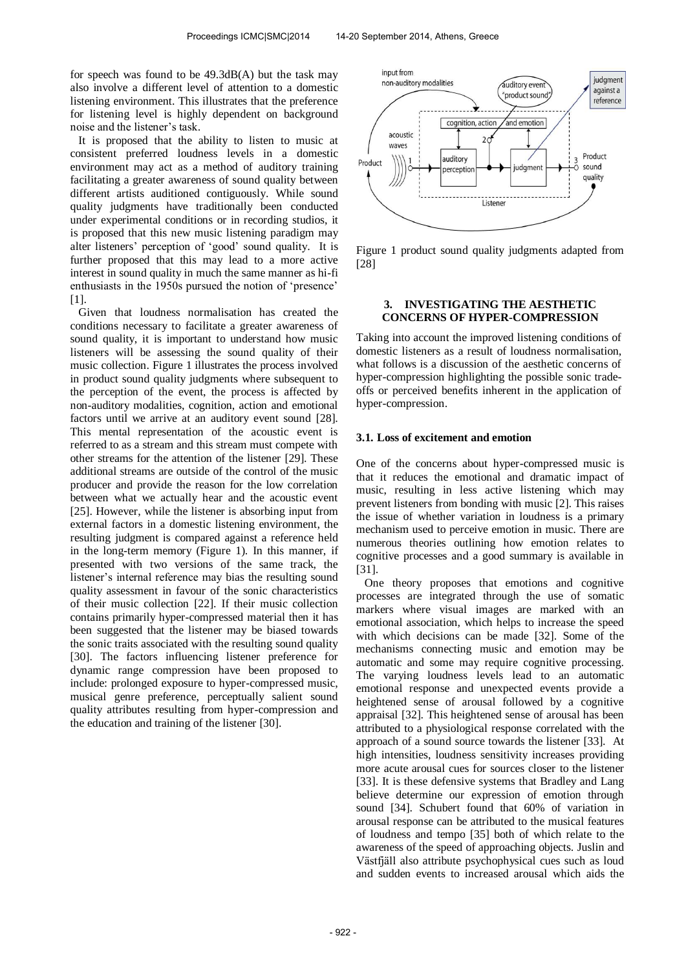for speech was found to be 49.3dB(A) but the task may also involve a different level of attention to a domestic listening environment. This illustrates that the preference for listening level is highly dependent on background noise and the listener's task.

It is proposed that the ability to listen to music at consistent preferred loudness levels in a domestic environment may act as a method of auditory training facilitating a greater awareness of sound quality between different artists auditioned contiguously. While sound quality judgments have traditionally been conducted under experimental conditions or in recording studios, it is proposed that this new music listening paradigm may alter listeners' perception of 'good' sound quality. It is further proposed that this may lead to a more active interest in sound quality in much the same manner as hi-fi enthusiasts in the 1950s pursued the notion of 'presence' [1].

Given that loudness normalisation has created the conditions necessary to facilitate a greater awareness of sound quality, it is important to understand how music listeners will be assessing the sound quality of their music collection. Figure 1 illustrates the process involved in product sound quality judgments where subsequent to the perception of the event, the process is affected by non-auditory modalities, cognition, action and emotional factors until we arrive at an auditory event sound [28]. This mental representation of the acoustic event is referred to as a stream and this stream must compete with other streams for the attention of the listener [29]. These additional streams are outside of the control of the music producer and provide the reason for the low correlation between what we actually hear and the acoustic event [25]. However, while the listener is absorbing input from external factors in a domestic listening environment, the resulting judgment is compared against a reference held in the long-term memory (Figure 1). In this manner, if presented with two versions of the same track, the listener's internal reference may bias the resulting sound quality assessment in favour of the sonic characteristics of their music collection [22]. If their music collection contains primarily hyper-compressed material then it has been suggested that the listener may be biased towards the sonic traits associated with the resulting sound quality [30]. The factors influencing listener preference for dynamic range compression have been proposed to include: prolonged exposure to hyper-compressed music, musical genre preference, perceptually salient sound quality attributes resulting from hyper-compression and the education and training of the listener [30].



Figure 1 product sound quality judgments adapted from [28]

## **3. INVESTIGATING THE AESTHETIC CONCERNS OF HYPER-COMPRESSION**

Taking into account the improved listening conditions of domestic listeners as a result of loudness normalisation, what follows is a discussion of the aesthetic concerns of hyper-compression highlighting the possible sonic tradeoffs or perceived benefits inherent in the application of hyper-compression.

## **3.1. Loss of excitement and emotion**

One of the concerns about hyper-compressed music is that it reduces the emotional and dramatic impact of music, resulting in less active listening which may prevent listeners from bonding with music [2]. This raises the issue of whether variation in loudness is a primary mechanism used to perceive emotion in music. There are numerous theories outlining how emotion relates to cognitive processes and a good summary is available in [31].

One theory proposes that emotions and cognitive processes are integrated through the use of somatic markers where visual images are marked with an emotional association, which helps to increase the speed with which decisions can be made [32]. Some of the mechanisms connecting music and emotion may be automatic and some may require cognitive processing. The varying loudness levels lead to an automatic emotional response and unexpected events provide a heightened sense of arousal followed by a cognitive appraisal [32]. This heightened sense of arousal has been attributed to a physiological response correlated with the approach of a sound source towards the listener [33]. At high intensities, loudness sensitivity increases providing more acute arousal cues for sources closer to the listener [33]. It is these defensive systems that Bradley and Lang believe determine our expression of emotion through sound [34]. Schubert found that 60% of variation in arousal response can be attributed to the musical features of loudness and tempo [35] both of which relate to the awareness of the speed of approaching objects. Juslin and Västfjäll also attribute psychophysical cues such as loud and sudden events to increased arousal which aids the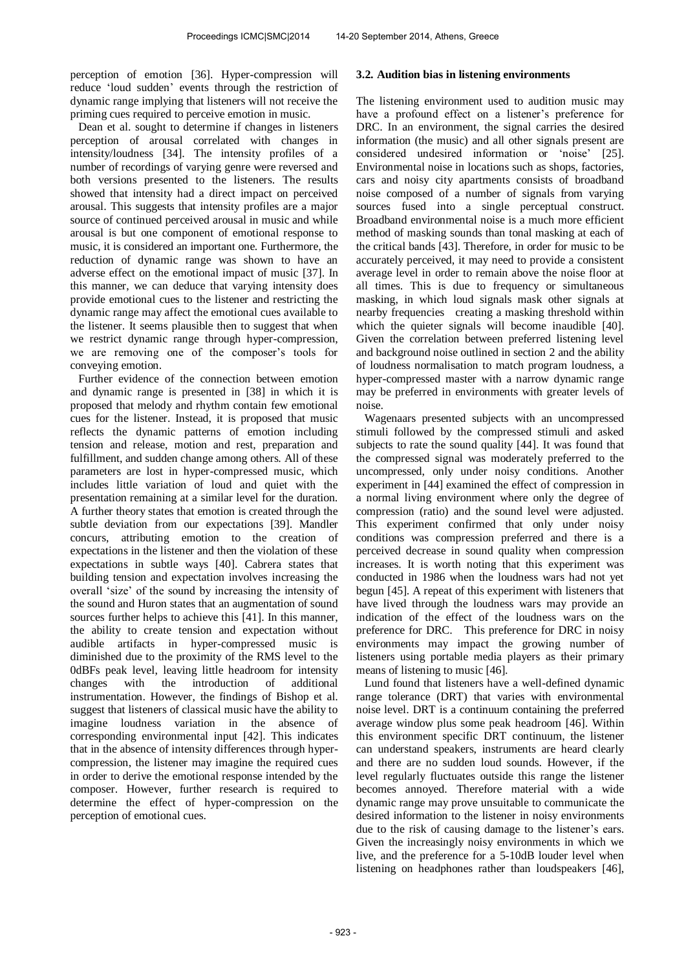perception of emotion [36]. Hyper-compression will reduce 'loud sudden' events through the restriction of dynamic range implying that listeners will not receive the priming cues required to perceive emotion in music.

Dean et al. sought to determine if changes in listeners perception of arousal correlated with changes in intensity/loudness [34]. The intensity profiles of a number of recordings of varying genre were reversed and both versions presented to the listeners. The results showed that intensity had a direct impact on perceived arousal. This suggests that intensity profiles are a major source of continued perceived arousal in music and while arousal is but one component of emotional response to music, it is considered an important one. Furthermore, the reduction of dynamic range was shown to have an adverse effect on the emotional impact of music [37]. In this manner, we can deduce that varying intensity does provide emotional cues to the listener and restricting the dynamic range may affect the emotional cues available to the listener. It seems plausible then to suggest that when we restrict dynamic range through hyper-compression, we are removing one of the composer's tools for conveying emotion.

Further evidence of the connection between emotion and dynamic range is presented in [38] in which it is proposed that melody and rhythm contain few emotional cues for the listener. Instead, it is proposed that music reflects the dynamic patterns of emotion including tension and release, motion and rest, preparation and fulfillment, and sudden change among others. All of these parameters are lost in hyper-compressed music, which includes little variation of loud and quiet with the presentation remaining at a similar level for the duration. A further theory states that emotion is created through the subtle deviation from our expectations [39]. Mandler concurs, attributing emotion to the creation of expectations in the listener and then the violation of these expectations in subtle ways [40]. Cabrera states that building tension and expectation involves increasing the overall 'size' of the sound by increasing the intensity of the sound and Huron states that an augmentation of sound sources further helps to achieve this [41]. In this manner, the ability to create tension and expectation without audible artifacts in hyper-compressed music is diminished due to the proximity of the RMS level to the 0dBFs peak level, leaving little headroom for intensity changes with the introduction of additional instrumentation. However, the findings of Bishop et al. suggest that listeners of classical music have the ability to imagine loudness variation in the absence of corresponding environmental input [42]. This indicates that in the absence of intensity differences through hypercompression, the listener may imagine the required cues in order to derive the emotional response intended by the composer. However, further research is required to determine the effect of hyper-compression on the perception of emotional cues.

#### **3.2. Audition bias in listening environments**

The listening environment used to audition music may have a profound effect on a listener's preference for DRC. In an environment, the signal carries the desired information (the music) and all other signals present are considered undesired information or 'noise' [25]. Environmental noise in locations such as shops, factories, cars and noisy city apartments consists of broadband noise composed of a number of signals from varying sources fused into a single perceptual construct. Broadband environmental noise is a much more efficient method of masking sounds than tonal masking at each of the critical bands [43]. Therefore, in order for music to be accurately perceived, it may need to provide a consistent average level in order to remain above the noise floor at all times. This is due to frequency or simultaneous masking, in which loud signals mask other signals at nearby frequencies creating a masking threshold within which the quieter signals will become inaudible [40]. Given the correlation between preferred listening level and background noise outlined in section 2 and the ability of loudness normalisation to match program loudness, a hyper-compressed master with a narrow dynamic range may be preferred in environments with greater levels of noise.

Wagenaars presented subjects with an uncompressed stimuli followed by the compressed stimuli and asked subjects to rate the sound quality [44]. It was found that the compressed signal was moderately preferred to the uncompressed, only under noisy conditions. Another experiment in [44] examined the effect of compression in a normal living environment where only the degree of compression (ratio) and the sound level were adjusted. This experiment confirmed that only under noisy conditions was compression preferred and there is a perceived decrease in sound quality when compression increases. It is worth noting that this experiment was conducted in 1986 when the loudness wars had not yet begun [45]. A repeat of this experiment with listeners that have lived through the loudness wars may provide an indication of the effect of the loudness wars on the preference for DRC. This preference for DRC in noisy environments may impact the growing number of listeners using portable media players as their primary means of listening to music [46].

Lund found that listeners have a well-defined dynamic range tolerance (DRT) that varies with environmental noise level. DRT is a continuum containing the preferred average window plus some peak headroom [46]. Within this environment specific DRT continuum, the listener can understand speakers, instruments are heard clearly and there are no sudden loud sounds. However, if the level regularly fluctuates outside this range the listener becomes annoyed. Therefore material with a wide dynamic range may prove unsuitable to communicate the desired information to the listener in noisy environments due to the risk of causing damage to the listener's ears. Given the increasingly noisy environments in which we live, and the preference for a 5-10dB louder level when listening on headphones rather than loudspeakers [46],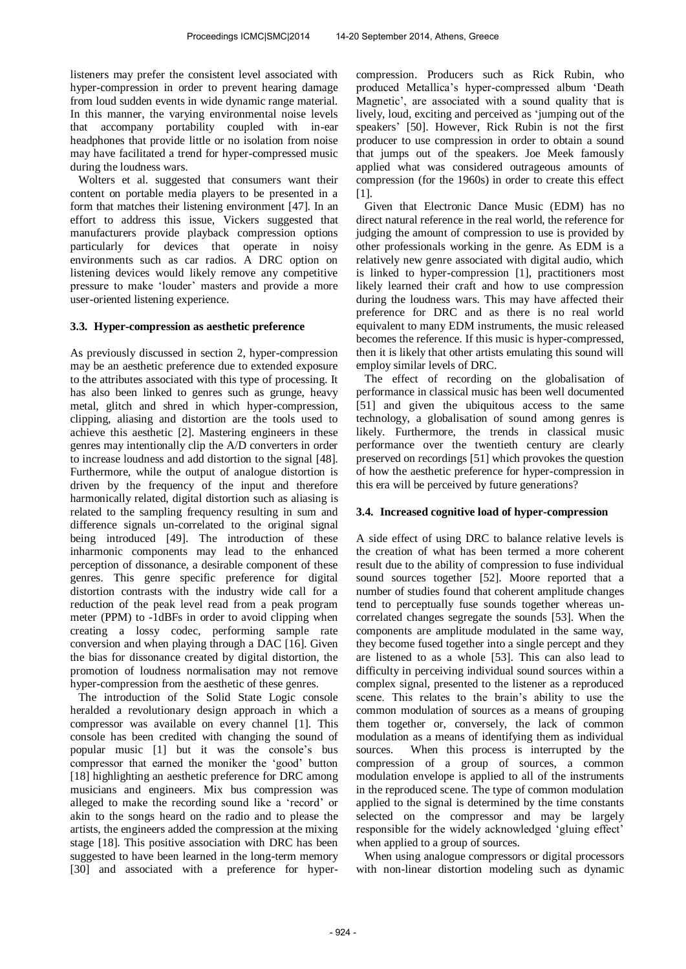listeners may prefer the consistent level associated with hyper-compression in order to prevent hearing damage from loud sudden events in wide dynamic range material. In this manner, the varying environmental noise levels that accompany portability coupled with in-ear headphones that provide little or no isolation from noise may have facilitated a trend for hyper-compressed music during the loudness wars.

Wolters et al. suggested that consumers want their content on portable media players to be presented in a form that matches their listening environment [47]. In an effort to address this issue, Vickers suggested that manufacturers provide playback compression options particularly for devices that operate in noisy environments such as car radios. A DRC option on listening devices would likely remove any competitive pressure to make 'louder' masters and provide a more user-oriented listening experience.

## **3.3. Hyper-compression as aesthetic preference**

As previously discussed in section 2, hyper-compression may be an aesthetic preference due to extended exposure to the attributes associated with this type of processing. It has also been linked to genres such as grunge, heavy metal, glitch and shred in which hyper-compression, clipping, aliasing and distortion are the tools used to achieve this aesthetic [2]. Mastering engineers in these genres may intentionally clip the A/D converters in order to increase loudness and add distortion to the signal [48]. Furthermore, while the output of analogue distortion is driven by the frequency of the input and therefore harmonically related, digital distortion such as aliasing is related to the sampling frequency resulting in sum and difference signals un-correlated to the original signal being introduced [49]. The introduction of these inharmonic components may lead to the enhanced perception of dissonance, a desirable component of these genres. This genre specific preference for digital distortion contrasts with the industry wide call for a reduction of the peak level read from a peak program meter (PPM) to -1dBFs in order to avoid clipping when creating a lossy codec, performing sample rate conversion and when playing through a DAC [16]. Given the bias for dissonance created by digital distortion, the promotion of loudness normalisation may not remove hyper-compression from the aesthetic of these genres.

The introduction of the Solid State Logic console heralded a revolutionary design approach in which a compressor was available on every channel [1]. This console has been credited with changing the sound of popular music [1] but it was the console's bus compressor that earned the moniker the 'good' button [18] highlighting an aesthetic preference for DRC among musicians and engineers. Mix bus compression was alleged to make the recording sound like a 'record' or akin to the songs heard on the radio and to please the artists, the engineers added the compression at the mixing stage [18]. This positive association with DRC has been suggested to have been learned in the long-term memory [30] and associated with a preference for hypercompression. Producers such as Rick Rubin, who produced Metallica's hyper-compressed album 'Death Magnetic', are associated with a sound quality that is lively, loud, exciting and perceived as 'jumping out of the speakers' [50]. However, Rick Rubin is not the first producer to use compression in order to obtain a sound that jumps out of the speakers. Joe Meek famously applied what was considered outrageous amounts of compression (for the 1960s) in order to create this effect [1].

Given that Electronic Dance Music (EDM) has no direct natural reference in the real world, the reference for judging the amount of compression to use is provided by other professionals working in the genre. As EDM is a relatively new genre associated with digital audio, which is linked to hyper-compression [1], practitioners most likely learned their craft and how to use compression during the loudness wars. This may have affected their preference for DRC and as there is no real world equivalent to many EDM instruments, the music released becomes the reference. If this music is hyper-compressed, then it is likely that other artists emulating this sound will employ similar levels of DRC.

The effect of recording on the globalisation of performance in classical music has been well documented [51] and given the ubiquitous access to the same technology, a globalisation of sound among genres is likely. Furthermore, the trends in classical music performance over the twentieth century are clearly preserved on recordings [51] which provokes the question of how the aesthetic preference for hyper-compression in this era will be perceived by future generations?

## **3.4. Increased cognitive load of hyper-compression**

A side effect of using DRC to balance relative levels is the creation of what has been termed a more coherent result due to the ability of compression to fuse individual sound sources together [52]. Moore reported that a number of studies found that coherent amplitude changes tend to perceptually fuse sounds together whereas uncorrelated changes segregate the sounds [53]. When the components are amplitude modulated in the same way, they become fused together into a single percept and they are listened to as a whole [53]. This can also lead to difficulty in perceiving individual sound sources within a complex signal, presented to the listener as a reproduced scene. This relates to the brain's ability to use the common modulation of sources as a means of grouping them together or, conversely, the lack of common modulation as a means of identifying them as individual sources. When this process is interrupted by the compression of a group of sources, a common modulation envelope is applied to all of the instruments in the reproduced scene. The type of common modulation applied to the signal is determined by the time constants selected on the compressor and may be largely responsible for the widely acknowledged 'gluing effect' when applied to a group of sources.

When using analogue compressors or digital processors with non-linear distortion modeling such as dynamic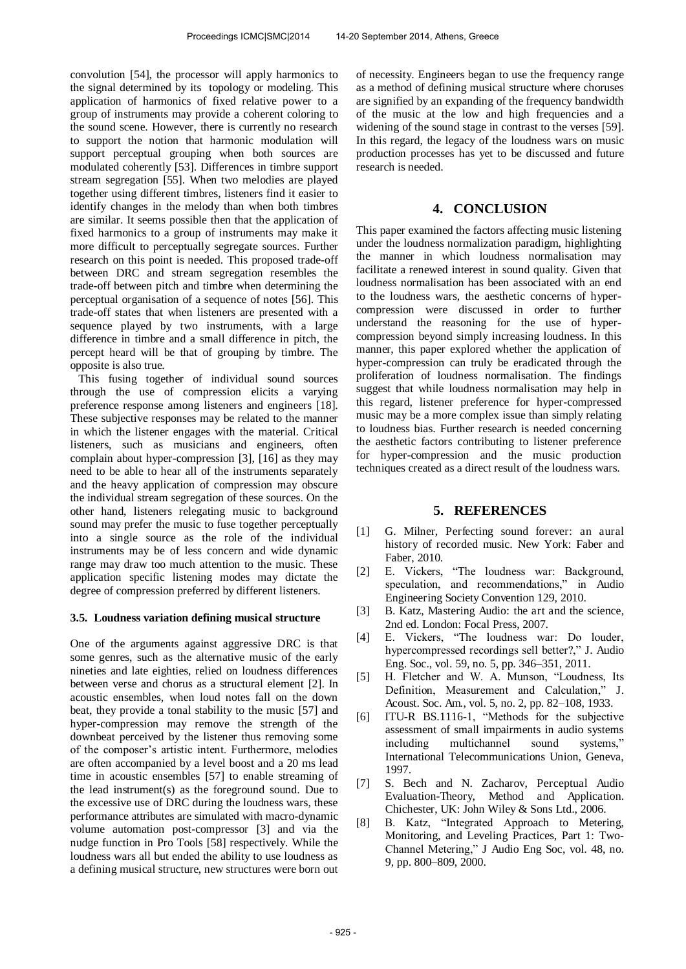convolution [54], the processor will apply harmonics to the signal determined by its topology or modeling. This application of harmonics of fixed relative power to a group of instruments may provide a coherent coloring to the sound scene. However, there is currently no research to support the notion that harmonic modulation will support perceptual grouping when both sources are modulated coherently [53]. Differences in timbre support stream segregation [55]. When two melodies are played together using different timbres, listeners find it easier to identify changes in the melody than when both timbres are similar. It seems possible then that the application of fixed harmonics to a group of instruments may make it more difficult to perceptually segregate sources. Further research on this point is needed. This proposed trade-off between DRC and stream segregation resembles the trade-off between pitch and timbre when determining the perceptual organisation of a sequence of notes [56]. This trade-off states that when listeners are presented with a sequence played by two instruments, with a large difference in timbre and a small difference in pitch, the percept heard will be that of grouping by timbre. The opposite is also true.

This fusing together of individual sound sources through the use of compression elicits a varying preference response among listeners and engineers [18]. These subjective responses may be related to the manner in which the listener engages with the material. Critical listeners, such as musicians and engineers, often complain about hyper-compression [3], [16] as they may need to be able to hear all of the instruments separately and the heavy application of compression may obscure the individual stream segregation of these sources. On the other hand, listeners relegating music to background sound may prefer the music to fuse together perceptually into a single source as the role of the individual instruments may be of less concern and wide dynamic range may draw too much attention to the music. These application specific listening modes may dictate the degree of compression preferred by different listeners.

### **3.5. Loudness variation defining musical structure**

One of the arguments against aggressive DRC is that some genres, such as the alternative music of the early nineties and late eighties, relied on loudness differences between verse and chorus as a structural element [2]. In acoustic ensembles, when loud notes fall on the down beat, they provide a tonal stability to the music [57] and hyper-compression may remove the strength of the downbeat perceived by the listener thus removing some of the composer's artistic intent. Furthermore, melodies are often accompanied by a level boost and a 20 ms lead time in acoustic ensembles [57] to enable streaming of the lead instrument(s) as the foreground sound. Due to the excessive use of DRC during the loudness wars, these performance attributes are simulated with macro-dynamic volume automation post-compressor [3] and via the nudge function in Pro Tools [58] respectively. While the loudness wars all but ended the ability to use loudness as a defining musical structure, new structures were born out of necessity. Engineers began to use the frequency range as a method of defining musical structure where choruses are signified by an expanding of the frequency bandwidth of the music at the low and high frequencies and a widening of the sound stage in contrast to the verses [59]. In this regard, the legacy of the loudness wars on music production processes has yet to be discussed and future research is needed.

## **4. CONCLUSION**

This paper examined the factors affecting music listening under the loudness normalization paradigm, highlighting the manner in which loudness normalisation may facilitate a renewed interest in sound quality. Given that loudness normalisation has been associated with an end to the loudness wars, the aesthetic concerns of hypercompression were discussed in order to further understand the reasoning for the use of hypercompression beyond simply increasing loudness. In this manner, this paper explored whether the application of hyper-compression can truly be eradicated through the proliferation of loudness normalisation. The findings suggest that while loudness normalisation may help in this regard, listener preference for hyper-compressed music may be a more complex issue than simply relating to loudness bias. Further research is needed concerning the aesthetic factors contributing to listener preference for hyper-compression and the music production techniques created as a direct result of the loudness wars.

## **5. REFERENCES**

- [1] G. Milner, Perfecting sound forever: an aural history of recorded music. New York: Faber and Faber, 2010.
- [2] E. Vickers, "The loudness war: Background, speculation, and recommendations," in Audio Engineering Society Convention 129, 2010.
- [3] B. Katz, Mastering Audio: the art and the science, 2nd ed. London: Focal Press, 2007.
- [4] E. Vickers, "The loudness war: Do louder, hypercompressed recordings sell better?," J. Audio Eng. Soc., vol. 59, no. 5, pp. 346–351, 2011.
- [5] H. Fletcher and W. A. Munson, "Loudness, Its Definition, Measurement and Calculation," J. Acoust. Soc. Am., vol. 5, no. 2, pp. 82–108, 1933.
- [6] ITU-R BS.1116-1, "Methods for the subjective assessment of small impairments in audio systems including multichannel sound systems," International Telecommunications Union, Geneva, 1997.
- [7] S. Bech and N. Zacharov, Perceptual Audio Evaluation-Theory, Method and Application. Chichester, UK: John Wiley & Sons Ltd., 2006.
- [8] B. Katz, "Integrated Approach to Metering, Monitoring, and Leveling Practices, Part 1: Two-Channel Metering," J Audio Eng Soc, vol. 48, no. 9, pp. 800–809, 2000.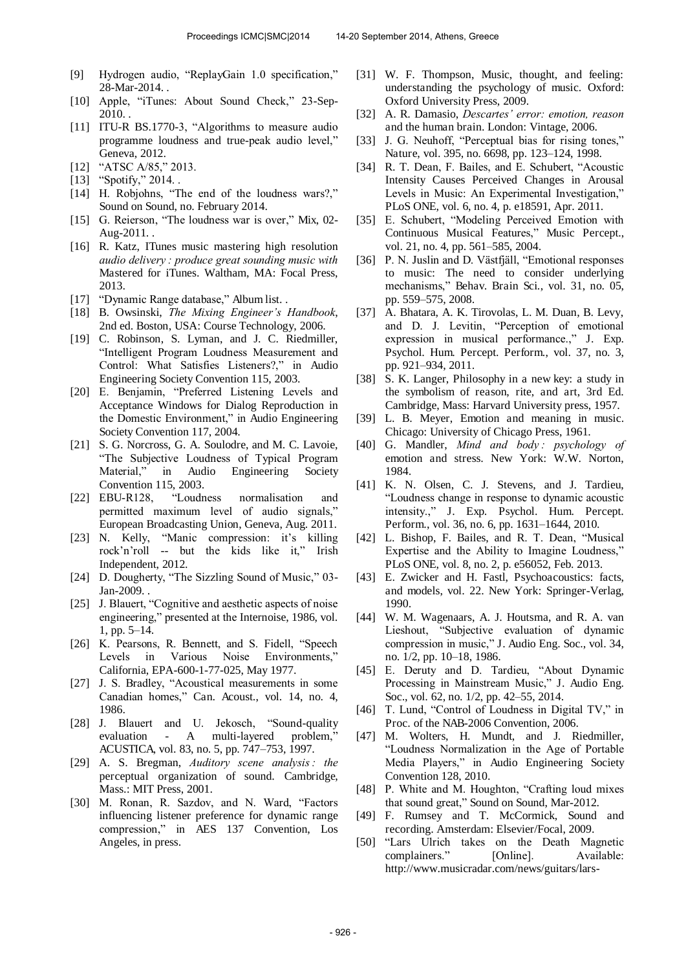- [9] Hydrogen audio, "ReplayGain 1.0 specification," 28-Mar-2014. .
- [10] Apple, "iTunes: About Sound Check," 23-Sep-2010. .
- [11] ITU-R BS.1770-3, "Algorithms to measure audio programme loudness and true-peak audio level," Geneva, 2012.
- [12] "ATSC A/85," 2013.
- [13] "Spotify," 2014. .
- [14] H. Robjohns, "The end of the loudness wars?," Sound on Sound, no. February 2014.
- [15] G. Reierson, "The loudness war is over," Mix, 02-Aug-2011. .
- [16] R. Katz, ITunes music mastering high resolution *audio delivery : produce great sounding music with*  Mastered for iTunes. Waltham, MA: Focal Press, 2013.
- [17] "Dynamic Range database," Album list. .
- [18] B. Owsinski, *The Mixing Engineer's Handbook*, 2nd ed. Boston, USA: Course Technology, 2006.
- [19] C. Robinson, S. Lyman, and J. C. Riedmiller, "Intelligent Program Loudness Measurement and Control: What Satisfies Listeners?," in Audio Engineering Society Convention 115, 2003.
- [20] E. Benjamin, "Preferred Listening Levels and Acceptance Windows for Dialog Reproduction in the Domestic Environment," in Audio Engineering Society Convention 117, 2004.
- [21] S. G. Norcross, G. A. Soulodre, and M. C. Lavoie, "The Subjective Loudness of Typical Program Material," in Audio Engineering Society Convention 115, 2003.
- [22] EBU-R128, "Loudness normalisation and permitted maximum level of audio signals," European Broadcasting Union, Geneva, Aug. 2011.
- [23] N. Kelly, "Manic compression: it's killing rock'n'roll -- but the kids like it," Irish Independent, 2012.
- [24] D. Dougherty, "The Sizzling Sound of Music," 03-Jan-2009. .
- [25] J. Blauert, "Cognitive and aesthetic aspects of noise engineering," presented at the Internoise, 1986, vol. 1, pp. 5–14.
- [26] K. Pearsons, R. Bennett, and S. Fidell, "Speech Levels in Various Noise Environments," California, EPA-600-1-77-025, May 1977.
- [27] J. S. Bradley, "Acoustical measurements in some Canadian homes," Can. Acoust., vol. 14, no. 4, 1986.
- [28] J. Blauert and U. Jekosch, "Sound-quality evaluation - A multi-layered problem, ACUSTICA, vol. 83, no. 5, pp. 747–753, 1997.
- [29] A. S. Bregman, *Auditory scene analysis*: the perceptual organization of sound. Cambridge, Mass.: MIT Press, 2001.
- [30] M. Ronan, R. Sazdov, and N. Ward, "Factors influencing listener preference for dynamic range compression," in AES 137 Convention, Los Angeles, in press.
- [31] W. F. Thompson, Music, thought, and feeling: understanding the psychology of music. Oxford: Oxford University Press, 2009.
- [32] A. R. Damasio, *Descartes' error: emotion, reason*  and the human brain. London: Vintage, 2006.
- [33] J. G. Neuhoff, "Perceptual bias for rising tones," Nature, vol. 395, no. 6698, pp. 123–124, 1998.
- [34] R. T. Dean, F. Bailes, and E. Schubert, "Acoustic Intensity Causes Perceived Changes in Arousal Levels in Music: An Experimental Investigation," PLoS ONE, vol. 6, no. 4, p. e18591, Apr. 2011.
- [35] E. Schubert, "Modeling Perceived Emotion with Continuous Musical Features," Music Percept., vol. 21, no. 4, pp. 561–585, 2004.
- [36] P. N. Juslin and D. Västfjäll, "Emotional responses" to music: The need to consider underlying mechanisms," Behav. Brain Sci., vol. 31, no. 05, pp. 559–575, 2008.
- [37] A. Bhatara, A. K. Tirovolas, L. M. Duan, B. Levy, and D. J. Levitin, "Perception of emotional expression in musical performance.," J. Exp. Psychol. Hum. Percept. Perform., vol. 37, no. 3, pp. 921–934, 2011.
- [38] S. K. Langer, Philosophy in a new key: a study in the symbolism of reason, rite, and art, 3rd Ed. Cambridge, Mass: Harvard University press, 1957.
- [39] L. B. Meyer, Emotion and meaning in music. Chicago: University of Chicago Press, 1961.
- [40] G. Mandler, *Mind and body : psychology of*  emotion and stress. New York: W.W. Norton, 1984.
- [41] K. N. Olsen, C. J. Stevens, and J. Tardieu, "Loudness change in response to dynamic acoustic intensity.," J. Exp. Psychol. Hum. Percept. Perform., vol. 36, no. 6, pp. 1631–1644, 2010.
- [42] L. Bishop, F. Bailes, and R. T. Dean, "Musical Expertise and the Ability to Imagine Loudness," PLoS ONE, vol. 8, no. 2, p. e56052, Feb. 2013.
- [43] E. Zwicker and H. Fastl, Psychoacoustics: facts, and models, vol. 22. New York: Springer-Verlag, 1990.
- [44] W. M. Wagenaars, A. J. Houtsma, and R. A. van Lieshout, "Subjective evaluation of dynamic compression in music," J. Audio Eng. Soc., vol. 34, no. 1/2, pp. 10–18, 1986.
- [45] E. Deruty and D. Tardieu, "About Dynamic Processing in Mainstream Music," J. Audio Eng. Soc., vol. 62, no. 1/2, pp. 42–55, 2014.
- [46] T. Lund, "Control of Loudness in Digital TV," in Proc. of the NAB-2006 Convention, 2006.
- [47] M. Wolters, H. Mundt, and J. Riedmiller, "Loudness Normalization in the Age of Portable Media Players," in Audio Engineering Society Convention 128, 2010.
- [48] P. White and M. Houghton, "Crafting loud mixes that sound great," Sound on Sound, Mar-2012.
- [49] F. Rumsey and T. McCormick, Sound and recording. Amsterdam: Elsevier/Focal, 2009.
- [50] "Lars Ulrich takes on the Death Magnetic complainers." [Online]. Available: http://www.musicradar.com/news/guitars/lars-